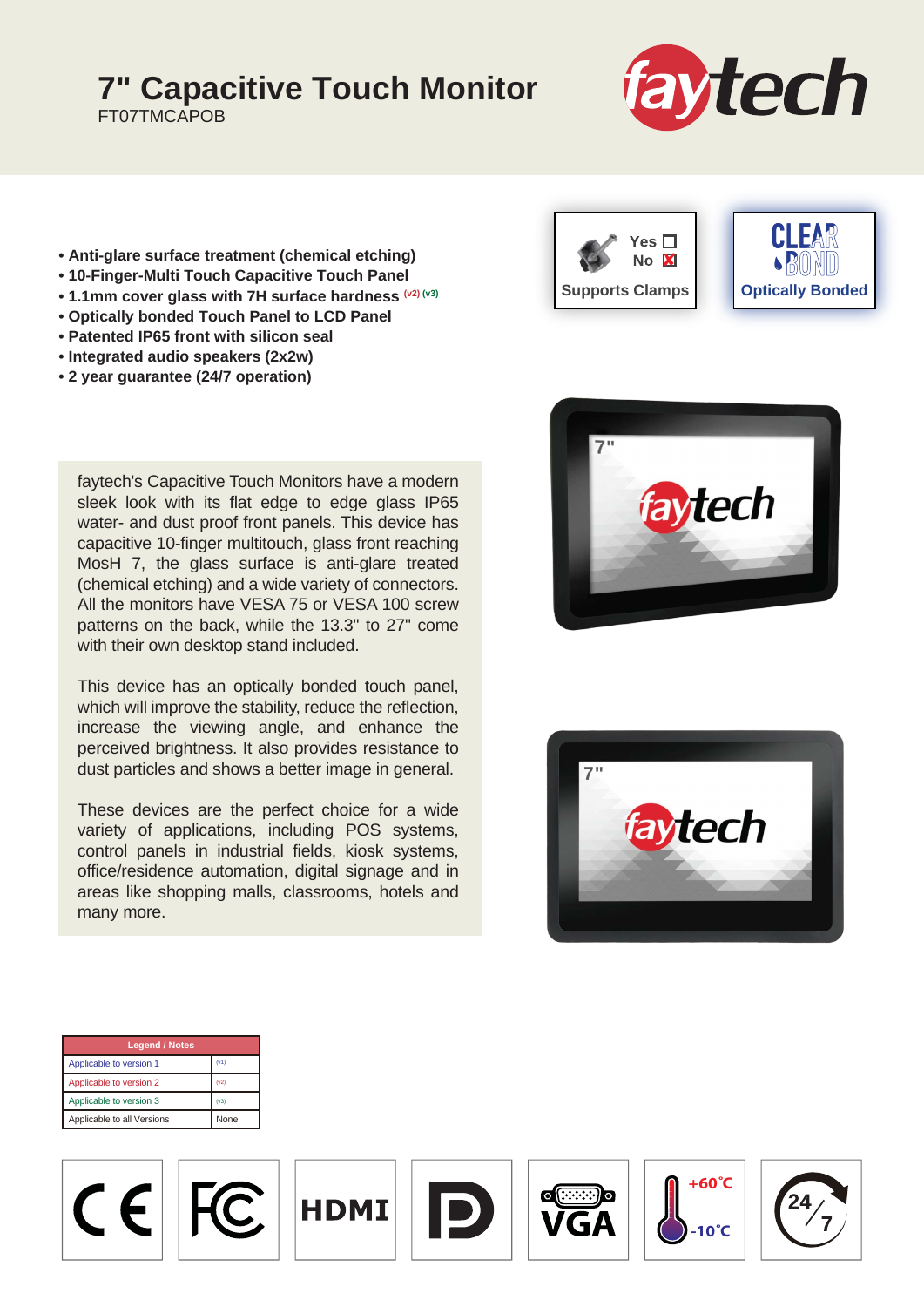## **7" Capacitive Touch Monitor**

FT07TMCAPOB



- **Anti-glare surface treatment (chemical etching)**
- **10-Finger-Multi Touch Capacitive Touch Panel**
- **1.1mm cover glass with 7H surface hardness (v2) (v3)**
- **Optically bonded Touch Panel to LCD Panel**
- **Patented IP65 front with silicon seal**
- **Integrated audio speakers (2x2w)**
- **2 year guarantee (24/7 operation)**

faytech's Capacitive Touch Monitors have a modern sleek look with its flat edge to edge glass IP65 water- and dust proof front panels. This device has capacitive 10-finger multitouch, glass front reaching MosH 7, the glass surface is anti-glare treated (chemical etching) and a wide variety of connectors. All the monitors have VESA 75 or VESA 100 screw patterns on the back, while the 13.3" to 27" come with their own desktop stand included.

This device has an optically bonded touch panel, which will improve the stability, reduce the reflection, increase the viewing angle, and enhance the perceived brightness. It also provides resistance to dust particles and shows a better image in general.

These devices are the perfect choice for a wide variety of applications, including POS systems, control panels in industrial fields, kiosk systems, office/residence automation, digital signage and in areas like shopping malls, classrooms, hotels and many more.







| <b>Legend / Notes</b>      |             |
|----------------------------|-------------|
| Applicable to version 1    | (v1)        |
| Applicable to version 2    | (v2)        |
| Applicable to version 3    | (v3)        |
| Applicable to all Versions | <b>None</b> |

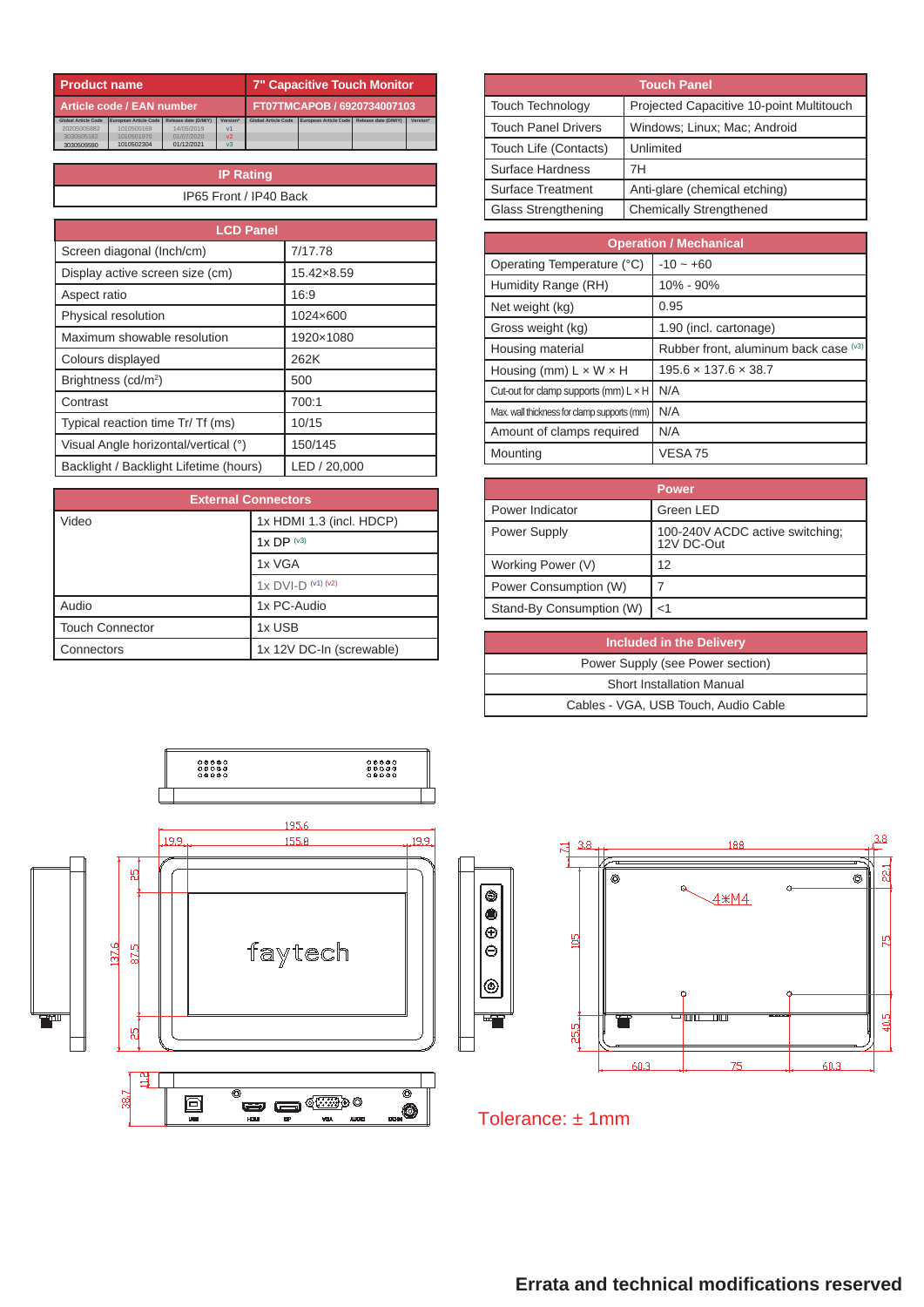| <b>Product name</b>        |                       |                             |                 | <b>7" Capacitive Touch Monitor</b> |                       |                      |                 |
|----------------------------|-----------------------|-----------------------------|-----------------|------------------------------------|-----------------------|----------------------|-----------------|
| Article code / EAN number  |                       | FT07TMCAPOB / 6920734007103 |                 |                                    |                       |                      |                 |
| <b>Global Article Code</b> | European Article Code | Release date (D/M/Y)        | <b>Version*</b> | <b>Global Article Code</b>         | European Article Code | Release date (D/M/Y) | <b>Version*</b> |
| 20205005882                | 1010500169            | 14/05/2019                  | v <sub>1</sub>  |                                    |                       |                      |                 |
| 3030505182                 | 1010501970            | 01/07/2020                  | V <sup>2</sup>  |                                    |                       |                      |                 |
| 3030509590                 | 1010502304            | 01/12/2021                  | v <sub>3</sub>  |                                    |                       |                      |                 |

**IP Rating** IP65 Front / IP40 Back

| <b>LCD Panel</b>                       |              |
|----------------------------------------|--------------|
| Screen diagonal (Inch/cm)              | 7/17.78      |
| Display active screen size (cm)        | 15.42×8.59   |
| Aspect ratio                           | 16:9         |
| Physical resolution                    | 1024×600     |
| Maximum showable resolution            | 1920×1080    |
| Colours displayed                      | 262K         |
| Brightness (cd/m <sup>2</sup> )        | 500          |
| Contrast                               | 700:1        |
| Typical reaction time Tr/ Tf (ms)      | 10/15        |
| Visual Angle horizontal/vertical (°)   | 150/145      |
| Backlight / Backlight Lifetime (hours) | LED / 20,000 |

| <b>External Connectors</b> |                          |  |
|----------------------------|--------------------------|--|
| Video                      | 1x HDMI 1.3 (incl. HDCP) |  |
|                            | $1x$ DP $(x3)$           |  |
|                            | 1x VGA                   |  |
|                            | $1x$ DVI-D $(41)$ $(42)$ |  |
| Audio                      | 1x PC-Audio              |  |
| <b>Touch Connector</b>     | 1x USB                   |  |
| Connectors                 | 1x 12V DC-In (screwable) |  |

| <b>Touch Panel</b>       |                                          |  |
|--------------------------|------------------------------------------|--|
| Touch Technology         | Projected Capacitive 10-point Multitouch |  |
| Touch Panel Drivers      | Windows: Linux: Mac: Android             |  |
| Touch Life (Contacts)    | Unlimited                                |  |
| Surface Hardness         | 7Н                                       |  |
| <b>Surface Treatment</b> | Anti-glare (chemical etching)            |  |
| Glass Strengthening      | Chemically Strengthened                  |  |

| <b>Operation / Mechanical</b>                |                                       |  |
|----------------------------------------------|---------------------------------------|--|
| Operating Temperature (°C)                   | $-10 - +60$                           |  |
| Humidity Range (RH)                          | 10% - 90%                             |  |
| Net weight (kg)                              | 0.95                                  |  |
| Gross weight (kg)                            | 1.90 (incl. cartonage)                |  |
| Housing material                             | Rubber front, aluminum back case (v3) |  |
| Housing (mm) $L \times W \times H$           | $195.6 \times 137.6 \times 38.7$      |  |
| Cut-out for clamp supports (mm) $L \times H$ | N/A                                   |  |
| Max. wall thickness for clamp supports (mm)  | N/A                                   |  |
| Amount of clamps required                    | N/A                                   |  |
| Mounting                                     | VESA <sub>75</sub>                    |  |

|                          | <b>Power</b>                                  |
|--------------------------|-----------------------------------------------|
| Power Indicator          | Green LED                                     |
| Power Supply             | 100-240V ACDC active switching;<br>12V DC-Out |
| Working Power (V)        | 12                                            |
| Power Consumption (W)    |                                               |
| Stand-By Consumption (W) | $<$ 1                                         |

| <b>Included in the Delivery</b>      |
|--------------------------------------|
| Power Supply (see Power section)     |
| <b>Short Installation Manual</b>     |
| Cables - VGA, USB Touch, Audio Cable |





Tolerance: ± 1mm